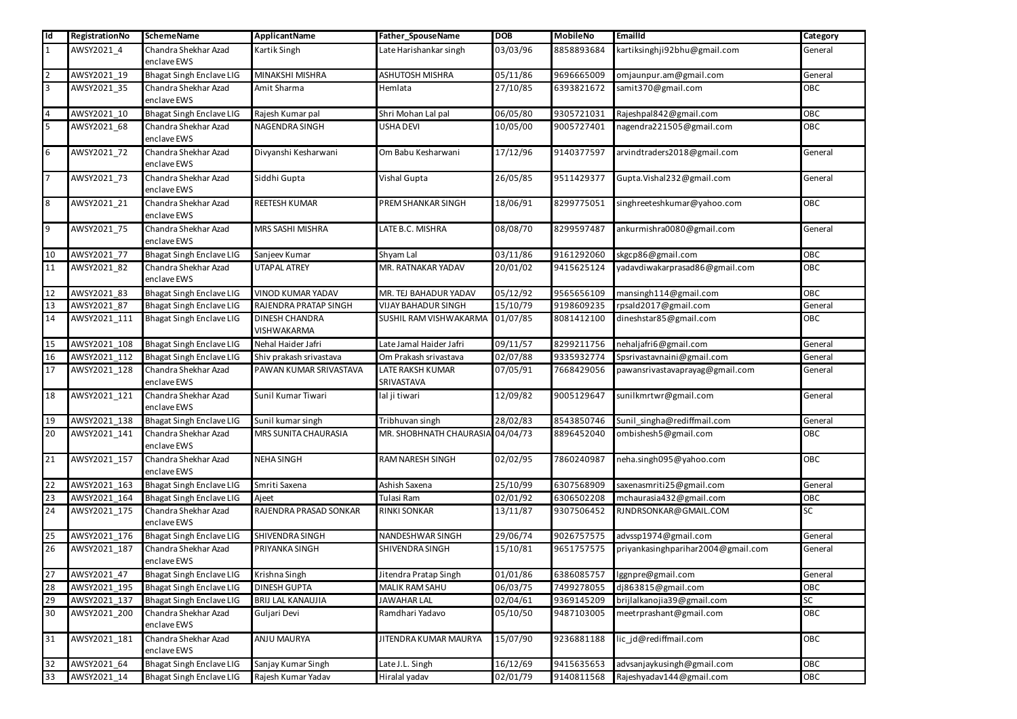| $\overline{\mathsf{Id}}$ | RegistrationNo | <b>SchemeName</b>                   | ApplicantName                               | Father_SpouseName                | <b>DOB</b> | <b>MobileNo</b> | <b>EmailId</b>                     | Category   |
|--------------------------|----------------|-------------------------------------|---------------------------------------------|----------------------------------|------------|-----------------|------------------------------------|------------|
|                          | AWSY2021_4     | Chandra Shekhar Azad                | Kartik Singh                                | Late Harishankar singh           | 03/03/96   | 8858893684      | kartiksinghji92bhu@gmail.com       | General    |
|                          |                | enclave EWS                         |                                             |                                  |            |                 |                                    |            |
| $\overline{2}$           | AWSY2021_19    | <b>Bhagat Singh Enclave LIG</b>     | MINAKSHI MISHRA                             | <b>ASHUTOSH MISHRA</b>           | 05/11/86   | 9696665009      | omjaunpur.am@gmail.com             | General    |
| 3                        | AWSY2021_35    | Chandra Shekhar Azad<br>enclave EWS | Amit Sharma                                 | Hemlata                          | 27/10/85   | 6393821672      | samit370@gmail.com                 | OBC        |
| $\overline{4}$           | AWSY2021 10    | <b>Bhagat Singh Enclave LIG</b>     | Rajesh Kumar pal                            | Shri Mohan Lal pal               | 06/05/80   | 9305721031      | Rajeshpal842@gmail.com             | OBC        |
| 5                        | AWSY2021_68    | Chandra Shekhar Azad<br>enclave EWS | NAGENDRA SINGH                              | <b>USHA DEVI</b>                 | 10/05/00   | 9005727401      | nagendra221505@gmail.com           | OBC        |
| 6                        | AWSY2021_72    | Chandra Shekhar Azad<br>enclave EWS | Divyanshi Kesharwani                        | Om Babu Kesharwani               | 17/12/96   | 9140377597      | arvindtraders2018@gmail.com        | General    |
|                          | AWSY2021_73    | Chandra Shekhar Azad<br>enclave EWS | Siddhi Gupta                                | Vishal Gupta                     | 26/05/85   | 9511429377      | Gupta.Vishal232@gmail.com          | General    |
| 8                        | AWSY2021_21    | Chandra Shekhar Azad<br>enclave EWS | <b>REETESH KUMAR</b>                        | PREM SHANKAR SINGH               | 18/06/91   | 8299775051      | singhreeteshkumar@yahoo.com        | OBC        |
| 9                        | AWSY2021_75    | Chandra Shekhar Azad<br>enclave EWS | MRS SASHI MISHRA                            | LATE B.C. MISHRA                 | 08/08/70   | 8299597487      | ankurmishra0080@gmail.com          | General    |
| 10                       | AWSY2021 77    | <b>Bhagat Singh Enclave LIG</b>     | Sanjeev Kumar                               | Shyam Lal                        | 03/11/86   | 9161292060      | skgcp86@gmail.com                  | OBC        |
| 11                       | AWSY2021_82    | Chandra Shekhar Azad<br>enclave EWS | <b>UTAPAL ATREY</b>                         | MR. RATNAKAR YADAV               | 20/01/02   | 9415625124      | yadavdiwakarprasad86@gmail.com     | OBC        |
| 12                       | AWSY2021 83    | <b>Bhagat Singh Enclave LIG</b>     | VINOD KUMAR YADAV                           | MR. TEJ BAHADUR YADAV            | 05/12/92   | 9565656109      | mansingh114@gmail.com              | <b>OBC</b> |
| 13                       | AWSY2021 87    | <b>Bhagat Singh Enclave LIG</b>     | RAJENDRA PRATAP SINGH                       | <b>VIJAY BAHADUR SINGH</b>       | 15/10/79   | 9198609235      | rpsald2017@gmail.com               | General    |
| 14                       | AWSY2021_111   | <b>Bhagat Singh Enclave LIG</b>     | <b>DINESH CHANDRA</b><br><b>VISHWAKARMA</b> | SUSHIL RAM VISHWAKARMA 01/07/85  |            | 8081412100      | dineshstar85@gmail.com             | OBC        |
| 15                       | AWSY2021 108   | <b>Bhagat Singh Enclave LIG</b>     | Nehal Haider Jafri                          | Late Jamal Haider Jafri          | 09/11/57   | 8299211756      | nehaljafri6@gmail.com              | General    |
| 16                       | AWSY2021_112   | Bhagat Singh Enclave LIG            | Shiv prakash srivastava                     | Om Prakash srivastava            | 02/07/88   | 9335932774      | Spsrivastavnaini@gmail.com         | General    |
| 17                       | AWSY2021_128   | Chandra Shekhar Azad<br>enclave EWS | PAWAN KUMAR SRIVASTAVA                      | LATE RAKSH KUMAR<br>SRIVASTAVA   | 07/05/91   | 7668429056      | pawansrivastavaprayag@gmail.com    | General    |
| 18                       | AWSY2021_121   | Chandra Shekhar Azad<br>enclave EWS | Sunil Kumar Tiwari                          | lal ji tiwari                    | 12/09/82   | 9005129647      | sunilkmrtwr@gmail.com              | General    |
| 19                       | AWSY2021_138   | <b>Bhagat Singh Enclave LIG</b>     | Sunil kumar singh                           | Tribhuvan singh                  | 28/02/83   | 8543850746      | Sunil_singha@rediffmail.com        | General    |
| 20                       | AWSY2021_141   | Chandra Shekhar Azad<br>enclave EWS | MRS SUNITA CHAURASIA                        | MR. SHOBHNATH CHAURASIA 04/04/73 |            | 8896452040      | ombishesh5@gmail.com               | <b>OBC</b> |
| 21                       | AWSY2021_157   | Chandra Shekhar Azad<br>enclave EWS | <b>NEHA SINGH</b>                           | <b>RAM NARESH SINGH</b>          | 02/02/95   | 7860240987      | neha.singh095@yahoo.com            | OBC        |
| 22                       | AWSY2021_163   | <b>Bhagat Singh Enclave LIG</b>     | Smriti Saxena                               | Ashish Saxena                    | 25/10/99   | 6307568909      | saxenasmriti25@gmail.com           | General    |
| 23                       | AWSY2021_164   | Bhagat Singh Enclave LIG            | Ajeet                                       | Tulasi Ram                       | 02/01/92   | 6306502208      | mchaurasia432@gmail.com            | OBC        |
| 24                       | AWSY2021_175   | Chandra Shekhar Azad<br>enclave EWS | RAJENDRA PRASAD SONKAR                      | <b>RINKI SONKAR</b>              | 13/11/87   | 9307506452      | RJNDRSONKAR@GMAIL.COM              | ${\sf SC}$ |
| 25                       | AWSY2021_176   | <b>Bhagat Singh Enclave LIG</b>     | SHIVENDRA SINGH                             | NANDESHWAR SINGH                 | 29/06/74   | 9026757575      | advssp1974@gmail.com               | General    |
| 26                       | AWSY2021_187   | Chandra Shekhar Azad<br>enclave EWS | PRIYANKA SINGH                              | SHIVENDRA SINGH                  | 15/10/81   | 9651757575      | priyankasinghparihar2004@gmail.com | General    |
| 27                       | AWSY2021_47    | <b>Bhagat Singh Enclave LIG</b>     | Krishna Singh                               | Jitendra Pratap Singh            | 01/01/86   | 6386085757      | lggnpre@gmail.com                  | General    |
| 28                       | AWSY2021_195   | <b>Bhagat Singh Enclave LIG</b>     | <b>DINESH GUPTA</b>                         | MALIK RAM SAHU                   | 06/03/75   | 7499278055      | dj863815@gmail.com                 | OBC        |
| 29                       | AWSY2021_137   | Bhagat Singh Enclave LIG            | <b>BRIJ LAL KANAUJIA</b>                    | JAWAHAR LAL                      | 02/04/61   | 9369145209      | brijlalkanojia39@gmail.com         | SC         |
| 30                       | AWSY2021_200   | Chandra Shekhar Azad<br>enclave EWS | Guljari Devi                                | Ramdhari Yadavo                  | 05/10/50   | 9487103005      | meetrprashant@gmail.com            | OBC        |
| 31                       | AWSY2021_181   | Chandra Shekhar Azad<br>enclave EWS | <b>ANJU MAURYA</b>                          | JITENDRA KUMAR MAURYA            | 15/07/90   | 9236881188      | lic_jd@rediffmail.com              | OBC        |
| 32                       | AWSY2021_64    | <b>Bhagat Singh Enclave LIG</b>     | Sanjay Kumar Singh                          | Late J.L. Singh                  | 16/12/69   | 9415635653      | advsanjaykusingh@gmail.com         | OBC        |
| 33                       | AWSY2021_14    | <b>Bhagat Singh Enclave LIG</b>     | Rajesh Kumar Yadav                          | Hiralal yadav                    | 02/01/79   | 9140811568      | Rajeshyadav144@gmail.com           | OBC        |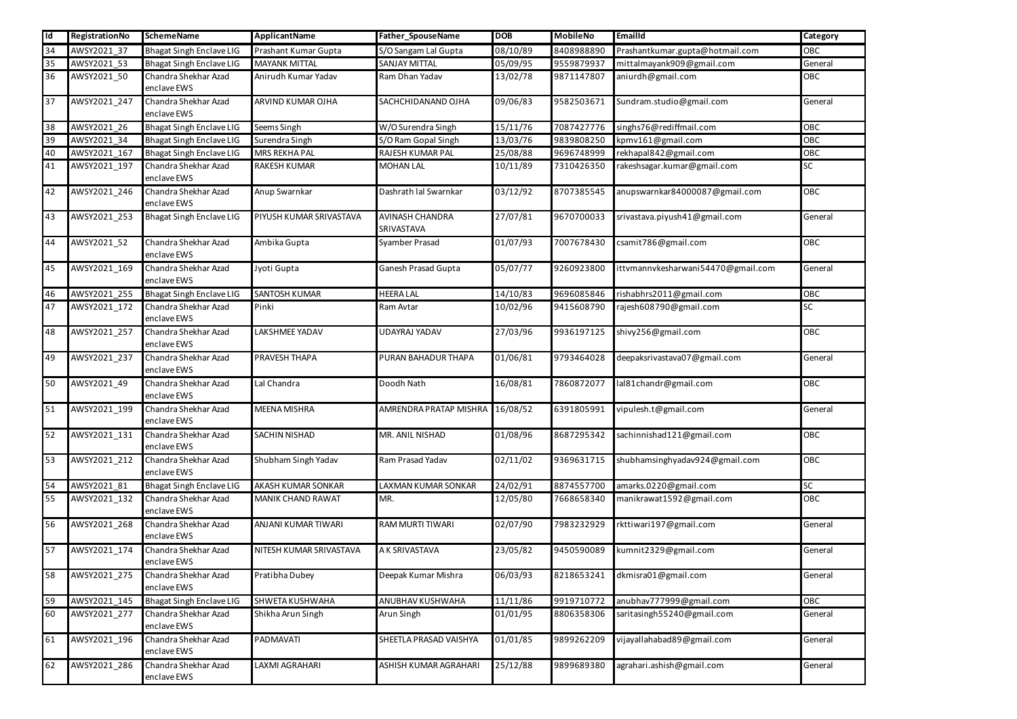| lld | RegistrationNo | <b>SchemeName</b>                   | ApplicantName           | Father_SpouseName                    | <b>DOB</b> | <b>MobileNo</b> | <b>EmailId</b>                     | Category  |
|-----|----------------|-------------------------------------|-------------------------|--------------------------------------|------------|-----------------|------------------------------------|-----------|
| 34  | AWSY2021_37    | <b>Bhagat Singh Enclave LIG</b>     | Prashant Kumar Gupta    | S/O Sangam Lal Gupta                 | 08/10/89   | 8408988890      | Prashantkumar.gupta@hotmail.com    | OBC       |
| 35  | AWSY2021 53    | <b>Bhagat Singh Enclave LIG</b>     | <b>MAYANK MITTAL</b>    | <b>SANJAY MITTAL</b>                 | 05/09/95   | 9559879937      | mittalmayank909@gmail.com          | General   |
| 36  | AWSY2021_50    | Chandra Shekhar Azad<br>enclave EWS | Anirudh Kumar Yadav     | Ram Dhan Yadav                       | 13/02/78   | 9871147807      | aniurdh@gmail.com                  | OBC       |
| 37  | AWSY2021_247   | Chandra Shekhar Azad<br>enclave EWS | ARVIND KUMAR OJHA       | SACHCHIDANAND OJHA                   | 09/06/83   | 9582503671      | Sundram.studio@gmail.com           | General   |
| 38  | AWSY2021_26    | <b>Bhagat Singh Enclave LIG</b>     | Seems Singh             | W/O Surendra Singh                   | 15/11/76   | 7087427776      | singhs76@rediffmail.com            | OBC       |
| 39  | AWSY2021_34    | <b>Bhagat Singh Enclave LIG</b>     | Surendra Singh          | S/O Ram Gopal Singh                  | 13/03/76   | 9839808250      | kpmv161@gmail.com                  | OBC       |
| 40  | AWSY2021_167   | <b>Bhagat Singh Enclave LIG</b>     | <b>MRS REKHA PAL</b>    | RAJESH KUMAR PAL                     | 25/08/88   | 9696748999      | rekhapal842@gmail.com              | OBC       |
| 41  | AWSY2021_197   | Chandra Shekhar Azad<br>enclave EWS | <b>RAKESH KUMAR</b>     | <b>MOHAN LAL</b>                     | 10/11/89   | 7310426350      | rakeshsagar.kumar@gmail.com        | SC        |
| 42  | AWSY2021_246   | Chandra Shekhar Azad<br>enclave EWS | Anup Swarnkar           | Dashrath lal Swarnkar                | 03/12/92   | 8707385545      | anupswarnkar84000087@gmail.com     | OBC       |
| 43  | AWSY2021_253   | Bhagat Singh Enclave LIG            | PIYUSH KUMAR SRIVASTAVA | <b>AVINASH CHANDRA</b><br>SRIVASTAVA | 27/07/81   | 9670700033      | srivastava.piyush41@gmail.com      | General   |
| 44  | AWSY2021_52    | Chandra Shekhar Azad<br>enclave EWS | Ambika Gupta            | Syamber Prasad                       | 01/07/93   | 7007678430      | csamit786@gmail.com                | OBC       |
| 45  | AWSY2021_169   | Chandra Shekhar Azad<br>enclave EWS | Jyoti Gupta             | <b>Ganesh Prasad Gupta</b>           | 05/07/77   | 9260923800      | ittvmannvkesharwani54470@gmail.com | General   |
| 46  | AWSY2021_255   | <b>Bhagat Singh Enclave LIG</b>     | <b>SANTOSH KUMAR</b>    | <b>HEERA LAL</b>                     | 14/10/83   | 9696085846      | rishabhrs2011@gmail.com            | OBC       |
| 47  | AWSY2021_172   | Chandra Shekhar Azad<br>enclave EWS | Pinki                   | Ram Avtar                            | 10/02/96   | 9415608790      | rajesh608790@gmail.com             | SC        |
| 48  | AWSY2021_257   | Chandra Shekhar Azad<br>enclave EWS | LAKSHMEE YADAV          | <b>UDAYRAJ YADAV</b>                 | 27/03/96   | 9936197125      | shivy256@gmail.com                 | OBC       |
| 49  | AWSY2021_237   | Chandra Shekhar Azad<br>enclave EWS | PRAVESH THAPA           | PURAN BAHADUR THAPA                  | 01/06/81   | 9793464028      | deepaksrivastava07@gmail.com       | General   |
| 50  | AWSY2021_49    | Chandra Shekhar Azad<br>enclave EWS | Lal Chandra             | Doodh Nath                           | 16/08/81   | 7860872077      | lal81chandr@gmail.com              | OBC       |
| 51  | AWSY2021 199   | Chandra Shekhar Azad<br>enclave EWS | <b>MEENA MISHRA</b>     | AMRENDRA PRATAP MISHRA 16/08/52      |            | 6391805991      | vipulesh.t@gmail.com               | General   |
| 52  | AWSY2021_131   | Chandra Shekhar Azad<br>enclave EWS | <b>SACHIN NISHAD</b>    | MR. ANIL NISHAD                      | 01/08/96   | 8687295342      | sachinnishad121@gmail.com          | OBC       |
| 53  | AWSY2021_212   | Chandra Shekhar Azad<br>enclave EWS | Shubham Singh Yadav     | Ram Prasad Yadav                     | 02/11/02   | 9369631715      | shubhamsinghyadav924@gmail.com     | OBC       |
| 54  | AWSY2021_81    | <b>Bhagat Singh Enclave LIG</b>     | AKASH KUMAR SONKAR      | <b>LAXMAN KUMAR SONKAR</b>           | 24/02/91   | 8874557700      | amarks.0220@gmail.com              | <b>SC</b> |
| 55  | AWSY2021_132   | Chandra Shekhar Azad<br>enclave EWS | MANIK CHAND RAWAT       | MR.                                  | 12/05/80   | 7668658340      | manikrawat1592@gmail.com           | OBC       |
| 56  | AWSY2021_268   | Chandra Shekhar Azad<br>enclave EWS | ANJANI KUMAR TIWARI     | <b>RAM MURTI TIWARI</b>              | 02/07/90   | 7983232929      | rkttiwari197@gmail.com             | General   |
| 57  | AWSY2021_174   | Chandra Shekhar Azad<br>enclave EWS | NITESH KUMAR SRIVASTAVA | A K SRIVASTAVA                       | 23/05/82   | 9450590089      | kumnit2329@gmail.com               | General   |
| 58  | AWSY2021_275   | Chandra Shekhar Azad<br>enclave EWS | Pratibha Dubey          | Deepak Kumar Mishra                  | 06/03/93   | 8218653241      | dkmisra01@gmail.com                | General   |
| 59  | AWSY2021_145   | <b>Bhagat Singh Enclave LIG</b>     | SHWETA KUSHWAHA         | ANUBHAV KUSHWAHA                     | 11/11/86   | 9919710772      | anubhav777999@gmail.com            | OBC       |
| 60  | AWSY2021_277   | Chandra Shekhar Azad<br>enclave EWS | Shikha Arun Singh       | Arun Singh                           | 01/01/95   | 8806358306      | saritasingh55240@gmail.com         | General   |
| 61  | AWSY2021_196   | Chandra Shekhar Azad<br>enclave EWS | PADMAVATI               | SHEETLA PRASAD VAISHYA               | 01/01/85   | 9899262209      | vijayallahabad89@gmail.com         | General   |
| 62  | AWSY2021_286   | Chandra Shekhar Azad<br>enclave EWS | LAXMI AGRAHARI          | ASHISH KUMAR AGRAHARI                | 25/12/88   | 9899689380      | agrahari.ashish@gmail.com          | General   |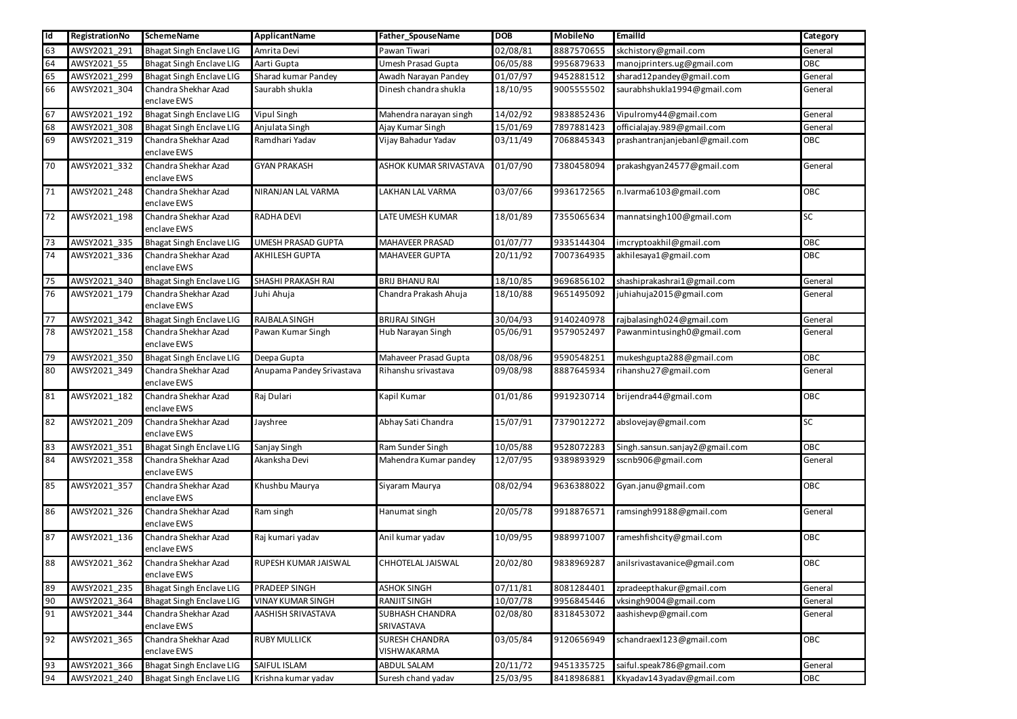| Id | RegistrationNo | <b>SchemeName</b>                   | <b>ApplicantName</b>      | Father_SpouseName                    | <b>DOB</b> | <b>MobileNo</b> | Emailld                        | Category   |
|----|----------------|-------------------------------------|---------------------------|--------------------------------------|------------|-----------------|--------------------------------|------------|
| 63 | AWSY2021_291   | <b>Bhagat Singh Enclave LIG</b>     | Amrita Devi               | Pawan Tiwari                         | 02/08/81   | 8887570655      | skchistory@gmail.com           | General    |
| 64 | AWSY2021_55    | <b>Bhagat Singh Enclave LIG</b>     | Aarti Gupta               | Umesh Prasad Gupta                   | 06/05/88   | 9956879633      | manojprinters.ug@gmail.com     | OBC        |
| 65 | AWSY2021_299   | <b>Bhagat Singh Enclave LIG</b>     | Sharad kumar Pandey       | Awadh Narayan Pandey                 | 01/07/97   | 9452881512      | sharad12pandey@gmail.com       | General    |
| 66 | AWSY2021_304   | Chandra Shekhar Azad<br>enclave EWS | Saurabh shukla            | Dinesh chandra shukla                | 18/10/95   | 9005555502      | saurabhshukla1994@gmail.com    | General    |
| 67 | AWSY2021_192   | <b>Bhagat Singh Enclave LIG</b>     | <b>Vipul Singh</b>        | Mahendra narayan singh               | 14/02/92   | 9838852436      | Vipulromy44@gmail.com          | General    |
| 68 | AWSY2021_308   | <b>Bhagat Singh Enclave LIG</b>     | Anjulata Singh            | Ajay Kumar Singh                     | 15/01/69   | 7897881423      | officialajay.989@gmail.com     | General    |
| 69 | AWSY2021_319   | Chandra Shekhar Azad<br>enclave EWS | Ramdhari Yadav            | Vijay Bahadur Yadav                  | 03/11/49   | 7068845343      | prashantranjanjebanl@gmail.com | OBC        |
| 70 | AWSY2021_332   | Chandra Shekhar Azad<br>enclave EWS | <b>GYAN PRAKASH</b>       | ASHOK KUMAR SRIVASTAVA               | 01/07/90   | 7380458094      | prakashgyan24577@gmail.com     | General    |
| 71 | AWSY2021 248   | Chandra Shekhar Azad<br>enclave EWS | NIRANJAN LAL VARMA        | LAKHAN LAL VARMA                     | 03/07/66   | 9936172565      | n.lvarma6103@gmail.com         | OBC        |
| 72 | AWSY2021_198   | Chandra Shekhar Azad<br>enclave EWS | RADHA DEVI                | LATE UMESH KUMAR                     | 18/01/89   | 7355065634      | mannatsingh100@gmail.com       | <b>SC</b>  |
| 73 | AWSY2021_335   | <b>Bhagat Singh Enclave LIG</b>     | <b>UMESH PRASAD GUPTA</b> | MAHAVEER PRASAD                      | 01/07/77   | 9335144304      | imcryptoakhil@gmail.com        | OBC        |
| 74 | AWSY2021_336   | Chandra Shekhar Azad<br>enclave EWS | <b>AKHILESH GUPTA</b>     | <b>MAHAVEER GUPTA</b>                | 20/11/92   | 7007364935      | akhilesaya1@gmail.com          | <b>OBC</b> |
| 75 | AWSY2021_340   | <b>Bhagat Singh Enclave LIG</b>     | <b>SHASHI PRAKASH RAI</b> | <b>BRIJ BHANU RAI</b>                | 18/10/85   | 9696856102      | shashiprakashrai1@gmail.com    | General    |
| 76 | AWSY2021_179   | Chandra Shekhar Azad<br>enclave EWS | Juhi Ahuja                | Chandra Prakash Ahuja                | 18/10/88   | 9651495092      | juhiahuja2015@gmail.com        | General    |
| 77 | AWSY2021_342   | <b>Bhagat Singh Enclave LIG</b>     | RAJBALA SINGH             | <b>BRIJRAJ SINGH</b>                 | 30/04/93   | 9140240978      | rajbalasingh024@gmail.com      | General    |
| 78 | AWSY2021_158   | Chandra Shekhar Azad<br>enclave EWS | Pawan Kumar Singh         | Hub Narayan Singh                    | 05/06/91   | 9579052497      | Pawanmintusingh0@gmail.com     | General    |
| 79 | AWSY2021_350   | <b>Bhagat Singh Enclave LIG</b>     | Deepa Gupta               | Mahaveer Prasad Gupta                | 08/08/96   | 9590548251      | mukeshgupta288@gmail.com       | OBC        |
| 80 | AWSY2021_349   | Chandra Shekhar Azad<br>enclave EWS | Anupama Pandey Srivastava | Rihanshu srivastava                  | 09/08/98   | 8887645934      | rihanshu27@gmail.com           | General    |
| 81 | AWSY2021_182   | Chandra Shekhar Azad<br>enclave EWS | Raj Dulari                | Kapil Kumar                          | 01/01/86   | 9919230714      | brijendra44@gmail.com          | OBC        |
| 82 | AWSY2021_209   | Chandra Shekhar Azad<br>enclave EWS | Jayshree                  | Abhay Sati Chandra                   | 15/07/91   | 7379012272      | abslovejay@gmail.com           | <b>SC</b>  |
| 83 | AWSY2021_351   | <b>Bhagat Singh Enclave LIG</b>     | Sanjay Singh              | Ram Sunder Singh                     | 10/05/88   | 9528072283      | Singh.sansun.sanjay2@gmail.com | OBC        |
| 84 | AWSY2021_358   | Chandra Shekhar Azad<br>enclave EWS | Akanksha Devi             | Mahendra Kumar pandey                | 12/07/95   | 9389893929      | sscnb906@gmail.com             | General    |
| 85 | AWSY2021_357   | Chandra Shekhar Azad<br>enclave EWS | Khushbu Maurya            | Siyaram Maurya                       | 08/02/94   | 9636388022      | Gyan.janu@gmail.com            | OBC        |
| 86 | AWSY2021_326   | Chandra Shekhar Azad<br>enclave EWS | Ram singh                 | Hanumat singh                        | 20/05/78   | 9918876571      | ramsingh99188@gmail.com        | General    |
| 87 | AWSY2021_136   | Chandra Shekhar Azad<br>enclave EWS | Raj kumari yadav          | Anil kumar yadav                     | 10/09/95   | 9889971007      | rameshfishcity@gmail.com       | OBC        |
| 88 | AWSY2021_362   | Chandra Shekhar Azad<br>enclave EWS | RUPESH KUMAR JAISWAL      | CHHOTELAL JAISWAL                    | 20/02/80   | 9838969287      | anilsrivastavanice@gmail.com   | OBC        |
| 89 | AWSY2021_235   | <b>Bhagat Singh Enclave LIG</b>     | <b>PRADEEP SINGH</b>      | <b>ASHOK SINGH</b>                   | 07/11/81   | 8081284401      | zpradeepthakur@gmail.com       | General    |
| 90 | AWSY2021_364   | <b>Bhagat Singh Enclave LIG</b>     | VINAY KUMAR SINGH         | <b>RANJIT SINGH</b>                  | 10/07/78   | 9956845446      | vksingh9004@gmail.com          | General    |
| 91 | AWSY2021_344   | Chandra Shekhar Azad<br>enclave EWS | AASHISH SRIVASTAVA        | SUBHASH CHANDRA<br>SRIVASTAVA        | 02/08/80   | 8318453072      | aashishevp@gmail.com           | General    |
| 92 | AWSY2021_365   | Chandra Shekhar Azad<br>enclave EWS | <b>RUBY MULLICK</b>       | <b>SURESH CHANDRA</b><br>VISHWAKARMA | 03/05/84   | 9120656949      | schandraexl123@gmail.com       | OBC        |
| 93 | AWSY2021_366   | <b>Bhagat Singh Enclave LIG</b>     | SAIFUL ISLAM              | ABDUL SALAM                          | 20/11/72   | 9451335725      | saiful.speak786@gmail.com      | General    |
| 94 | AWSY2021_240   | <b>Bhagat Singh Enclave LIG</b>     | Krishna kumar yadav       | Suresh chand yadav                   | 25/03/95   | 8418986881      | Kkyadav143yadav@gmail.com      | OBC        |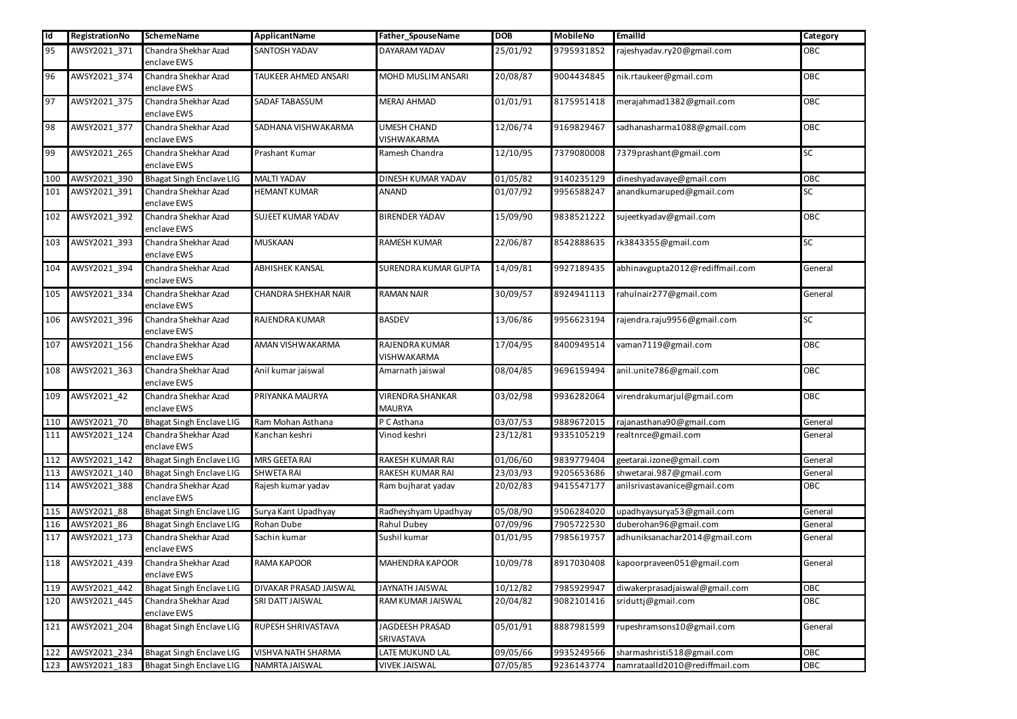| l Id | RegistrationNo | <b>SchemeName</b>                   | ApplicantName             | Father_SpouseName                        | <b>DOB</b> | <b>MobileNo</b> | Emailld                         | <b>Category</b> |
|------|----------------|-------------------------------------|---------------------------|------------------------------------------|------------|-----------------|---------------------------------|-----------------|
| 95   | AWSY2021_371   | Chandra Shekhar Azad<br>enclave EWS | <b>SANTOSH YADAV</b>      | DAYARAM YADAV                            | 25/01/92   | 9795931852      | rajeshyadav.ry20@gmail.com      | OBC             |
| 96   | AWSY2021_374   | Chandra Shekhar Azad<br>enclave EWS | TAUKEER AHMED ANSARI      | MOHD MUSLIM ANSARI                       | 20/08/87   | 9004434845      | nik.rtaukeer@gmail.com          | <b>OBC</b>      |
| 97   | AWSY2021 375   | Chandra Shekhar Azad<br>enclave EWS | <b>SADAF TABASSUM</b>     | <b>MERAJ AHMAD</b>                       | 01/01/91   | 8175951418      | merajahmad1382@gmail.com        | <b>OBC</b>      |
| 98   | AWSY2021_377   | Chandra Shekhar Azad<br>enclave EWS | SADHANA VISHWAKARMA       | <b>UMESH CHAND</b><br>VISHWAKARMA        | 12/06/74   | 9169829467      | sadhanasharma1088@gmail.com     | OBC             |
| 99   | AWSY2021_265   | Chandra Shekhar Azad<br>enclave EWS | Prashant Kumar            | Ramesh Chandra                           | 12/10/95   | 7379080008      | 7379prashant@gmail.com          | SC              |
| 100  | AWSY2021_390   | <b>Bhagat Singh Enclave LIG</b>     | <b>MALTI YADAV</b>        | DINESH KUMAR YADAV                       | 01/05/82   | 9140235129      | dineshyadavaye@gmail.com        | OBC             |
| 101  | AWSY2021_391   | Chandra Shekhar Azad<br>enclave EWS | <b>HEMANT KUMAR</b>       | <b>ANAND</b>                             | 01/07/92   | 9956588247      | anandkumaruped@gmail.com        | SC              |
| 102  | AWSY2021_392   | Chandra Shekhar Azad<br>enclave EWS | <b>SUJEET KUMAR YADAV</b> | <b>BIRENDER YADAV</b>                    | 15/09/90   | 9838521222      | sujeetkyadav@gmail.com          | OBC             |
| 103  | AWSY2021_393   | Chandra Shekhar Azad<br>enclave EWS | <b>MUSKAAN</b>            | <b>RAMESH KUMAR</b>                      | 22/06/87   | 8542888635      | rk3843355@gmail.com             | SC              |
| 104  | AWSY2021_394   | Chandra Shekhar Azad<br>enclave EWS | <b>ABHISHEK KANSAL</b>    | <b>SURENDRA KUMAR GUPTA</b>              | 14/09/81   | 9927189435      | abhinavgupta2012@rediffmail.com | General         |
| 105  | AWSY2021_334   | Chandra Shekhar Azad<br>enclave EWS | CHANDRA SHEKHAR NAIR      | <b>RAMAN NAIR</b>                        | 30/09/57   | 8924941113      | rahulnair277@gmail.com          | General         |
| 106  | AWSY2021_396   | Chandra Shekhar Azad<br>enclave EWS | RAJENDRA KUMAR            | <b>BASDEV</b>                            | 13/06/86   | 9956623194      | rajendra.raju9956@gmail.com     | SC              |
| 107  | AWSY2021 156   | Chandra Shekhar Azad<br>enclave EWS | AMAN VISHWAKARMA          | RAJENDRA KUMAR<br><b>VISHWAKARMA</b>     | 17/04/95   | 8400949514      | vaman7119@gmail.com             | OBC             |
| 108  | AWSY2021_363   | Chandra Shekhar Azad<br>enclave EWS | Anil kumar jaiswal        | Amarnath jaiswal                         | 08/04/85   | 9696159494      | anil.unite786@gmail.com         | OBC             |
| 109  | AWSY2021 42    | Chandra Shekhar Azad<br>enclave EWS | PRIYANKA MAURYA           | <b>VIRENDRA SHANKAR</b><br><b>MAURYA</b> | 03/02/98   | 9936282064      | virendrakumarjul@gmail.com      | OBC             |
| 110  | AWSY2021_70    | <b>Bhagat Singh Enclave LIG</b>     | Ram Mohan Asthana         | P C Asthana                              | 03/07/53   | 9889672015      | rajanasthana90@gmail.com        | General         |
| 111  | AWSY2021 124   | Chandra Shekhar Azad<br>enclave EWS | Kanchan keshri            | Vinod keshri                             | 23/12/81   | 9335105219      | realtnrce@gmail.com             | General         |
| 112  | AWSY2021_142   | <b>Bhagat Singh Enclave LIG</b>     | MRS GEETA RAI             | RAKESH KUMAR RAI                         | 01/06/60   | 9839779404      | geetarai.izone@gmail.com        | General         |
| 113  | AWSY2021_140   | <b>Bhagat Singh Enclave LIG</b>     | <b>SHWETA RAI</b>         | RAKESH KUMAR RAI                         | 23/03/93   | 9205653686      | shwetarai.987@gmail.com         | General         |
| 114  | AWSY2021_388   | Chandra Shekhar Azad<br>enclave EWS | Rajesh kumar yadav        | Ram bujharat yadav                       | 20/02/83   | 9415547177      | anilsrivastavanice@gmail.com    | OBC             |
| 115  | AWSY2021_88    | <b>Bhagat Singh Enclave LIG</b>     | Surya Kant Upadhyay       | Radheyshyam Upadhyay                     | 05/08/90   | 9506284020      | upadhyaysurya53@gmail.com       | General         |
| 116  | AWSY2021_86    | <b>Bhagat Singh Enclave LIG</b>     | Rohan Dube                | Rahul Dubey                              | 07/09/96   | 7905722530      | duberohan96@gmail.com           | General         |
| 117  | AWSY2021_173   | Chandra Shekhar Azad<br>enclave EWS | Sachin kumar              | Sushil kumar                             | 01/01/95   | 7985619757      | adhuniksanachar2014@gmail.com   | General         |
| 118  | AWSY2021_439   | Chandra Shekhar Azad<br>enclave EWS | RAMA KAPOOR               | MAHENDRA KAPOOR                          | 10/09/78   | 8917030408      | kapoorpraveen051@gmail.com      | General         |
| 119  | AWSY2021_442   | <b>Bhagat Singh Enclave LIG</b>     | DIVAKAR PRASAD JAISWAL    | JAYNATH JAISWAL                          | 10/12/82   | 7985929947      | diwakerprasadjaiswal@gmail.com  | OBC             |
| 120  | AWSY2021_445   | Chandra Shekhar Azad<br>enclave EWS | SRI DATT JAISWAL          | RAM KUMAR JAISWAL                        | 20/04/82   | 9082101416      | sriduttj@gmail.com              | OBC             |
| 121  | AWSY2021_204   | Bhagat Singh Enclave LIG            | RUPESH SHRIVASTAVA        | JAGDEESH PRASAD<br>SRIVASTAVA            | 05/01/91   | 8887981599      | rupeshramsons10@gmail.com       | General         |
| 122  | AWSY2021_234   | <b>Bhagat Singh Enclave LIG</b>     | VISHVA NATH SHARMA        | LATE MUKUND LAL                          | 09/05/66   | 9935249566      | sharmashristi518@gmail.com      | OBC             |
| 123  | AWSY2021_183   | <b>Bhagat Singh Enclave LIG</b>     | NAMRTA JAISWAL            | <b>VIVEK JAISWAL</b>                     | 07/05/85   | 9236143774      | namrataalld2010@rediffmail.com  | OBC             |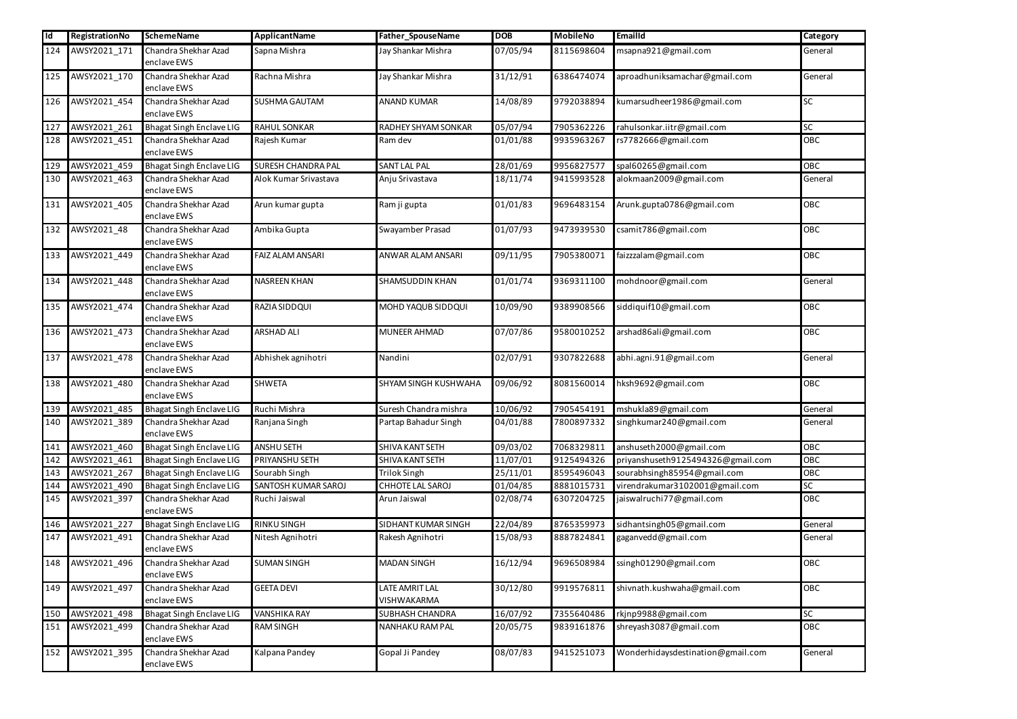| <b>Id</b> | RegistrationNo   | <b>SchemeName</b>                   | ApplicantName             | Father_SpouseName             | <b>DOB</b> | <b>MobileNo</b> | Emailld                           | Category   |
|-----------|------------------|-------------------------------------|---------------------------|-------------------------------|------------|-----------------|-----------------------------------|------------|
| 124       | AWSY2021_171     | Chandra Shekhar Azad<br>enclave EWS | Sapna Mishra              | Jay Shankar Mishra            | 07/05/94   | 8115698604      | msapna921@gmail.com               | General    |
| 125       | AWSY2021_170     | Chandra Shekhar Azad<br>enclave EWS | Rachna Mishra             | Jay Shankar Mishra            | 31/12/91   | 6386474074      | aproadhuniksamachar@gmail.com     | General    |
| 126       | AWSY2021_454     | Chandra Shekhar Azad<br>enclave EWS | SUSHMA GAUTAM             | <b>ANAND KUMAR</b>            | 14/08/89   | 9792038894      | kumarsudheer1986@gmail.com        | SC         |
| 127       | AWSY2021_261     | <b>Bhagat Singh Enclave LIG</b>     | <b>RAHUL SONKAR</b>       | RADHEY SHYAM SONKAR           | 05/07/94   | 7905362226      | rahulsonkar.iitr@gmail.com        | ${\sf SC}$ |
| 128       | AWSY2021_451     | Chandra Shekhar Azad<br>enclave EWS | Rajesh Kumar              | Ram dev                       | 01/01/88   | 9935963267      | rs7782666@gmail.com               | OBC        |
| 129       | AWSY2021_459     | <b>Bhagat Singh Enclave LIG</b>     | <b>SURESH CHANDRA PAL</b> | SANT LAL PAL                  | 28/01/69   | 9956827577      | spal60265@gmail.com               | OBC        |
| 130       | AWSY2021_463     | Chandra Shekhar Azad<br>enclave EWS | Alok Kumar Srivastava     | Anju Srivastava               | 18/11/74   | 9415993528      | alokmaan2009@gmail.com            | General    |
|           | 131 AWSY2021_405 | Chandra Shekhar Azad<br>enclave EWS | Arun kumar gupta          | Ram ji gupta                  | 01/01/83   | 9696483154      | Arunk.gupta0786@gmail.com         | OBC        |
| 132       | AWSY2021_48      | Chandra Shekhar Azad<br>enclave EWS | Ambika Gupta              | Swayamber Prasad              | 01/07/93   | 9473939530      | csamit786@gmail.com               | OBC        |
| 133       | AWSY2021_449     | Chandra Shekhar Azad<br>enclave EWS | <b>FAIZ ALAM ANSARI</b>   | ANWAR ALAM ANSARI             | 09/11/95   | 7905380071      | faizzzalam@gmail.com              | OBC        |
| 134       | AWSY2021_448     | Chandra Shekhar Azad<br>enclave EWS | NASREEN KHAN              | SHAMSUDDIN KHAN               | 01/01/74   | 9369311100      | mohdnoor@gmail.com                | General    |
| 135       | AWSY2021_474     | Chandra Shekhar Azad<br>enclave EWS | RAZIA SIDDQUI             | MOHD YAQUB SIDDQUI            | 10/09/90   | 9389908566      | siddiquif10@gmail.com             | OBC        |
| 136       | AWSY2021_473     | Chandra Shekhar Azad<br>enclave EWS | <b>ARSHAD ALI</b>         | MUNEER AHMAD                  | 07/07/86   | 9580010252      | arshad86ali@gmail.com             | OBC        |
| 137       | AWSY2021_478     | Chandra Shekhar Azad<br>enclave EWS | Abhishek agnihotri        | Nandini                       | 02/07/91   | 9307822688      | abhi.agni.91@gmail.com            | General    |
| 138       | AWSY2021_480     | Chandra Shekhar Azad<br>enclave EWS | <b>SHWETA</b>             | SHYAM SINGH KUSHWAHA          | 09/06/92   | 8081560014      | hksh9692@gmail.com                | OBC        |
|           | 139 AWSY2021 485 | <b>Bhagat Singh Enclave LIG</b>     | Ruchi Mishra              | Suresh Chandra mishra         | 10/06/92   | 7905454191      | mshukla89@gmail.com               | General    |
| 140       | AWSY2021_389     | Chandra Shekhar Azad<br>enclave EWS | Ranjana Singh             | Partap Bahadur Singh          | 04/01/88   | 7800897332      | singhkumar240@gmail.com           | General    |
| 141       | AWSY2021_460     | <b>Bhagat Singh Enclave LIG</b>     | <b>ANSHU SETH</b>         | SHIVA KANT SETH               | 09/03/02   | 7068329811      | anshuseth2000@gmail.com           | OBC        |
| 142       | AWSY2021_461     | <b>Bhagat Singh Enclave LIG</b>     | PRIYANSHU SETH            | SHIVA KANT SETH               | 11/07/01   | 9125494326      | priyanshuseth9125494326@gmail.com | OBC        |
| 143       | AWSY2021_267     | <b>Bhagat Singh Enclave LIG</b>     | Sourabh Singh             | <b>Trilok Singh</b>           | 25/11/01   | 8595496043      | sourabhsingh85954@gmail.com       | OBC        |
| 144       | AWSY2021_490     | <b>Bhagat Singh Enclave LIG</b>     | SANTOSH KUMAR SAROJ       | CHHOTE LAL SAROJ              | 01/04/85   | 8881015731      | virendrakumar3102001@gmail.com    | ${\sf SC}$ |
| 145       | AWSY2021_397     | Chandra Shekhar Azad<br>enclave EWS | Ruchi Jaiswal             | Arun Jaiswal                  | 02/08/74   | 6307204725      | jaiswalruchi77@gmail.com          | OBC        |
| 146       | AWSY2021_227     | <b>Bhagat Singh Enclave LIG</b>     | <b>RINKU SINGH</b>        | SIDHANT KUMAR SINGH           | 22/04/89   | 8765359973      | sidhantsingh05@gmail.com          | General    |
| 147       | AWSY2021_491     | Chandra Shekhar Azad<br>enclave EWS | Nitesh Agnihotri          | Rakesh Agnihotri              | 15/08/93   | 8887824841      | gaganvedd@gmail.com               | General    |
| 148       | AWSY2021_496     | Chandra Shekhar Azad<br>enclave EWS | <b>SUMAN SINGH</b>        | <b>MADAN SINGH</b>            | 16/12/94   | 9696508984      | ssingh01290@gmail.com             | OBC        |
| 149       | AWSY2021_497     | Chandra Shekhar Azad<br>enclave EWS | <b>GEETA DEVI</b>         | LATE AMRIT LAL<br>VISHWAKARMA | 30/12/80   | 9919576811      | shivnath.kushwaha@gmail.com       | OBC        |
| 150       | AWSY2021_498     | <b>Bhagat Singh Enclave LIG</b>     | VANSHIKA RAY              | <b>SUBHASH CHANDRA</b>        | 16/07/92   | 7355640486      | rkjnp9988@gmail.com               | SC         |
| 151       | AWSY2021_499     | Chandra Shekhar Azad<br>enclave EWS | <b>RAM SINGH</b>          | NANHAKU RAM PAL               | 20/05/75   | 9839161876      | shreyash3087@gmail.com            | OBC        |
| 152       | AWSY2021_395     | Chandra Shekhar Azad<br>enclave EWS | Kalpana Pandey            | Gopal Ji Pandey               | 08/07/83   | 9415251073      | Wonderhidaysdestination@gmail.com | General    |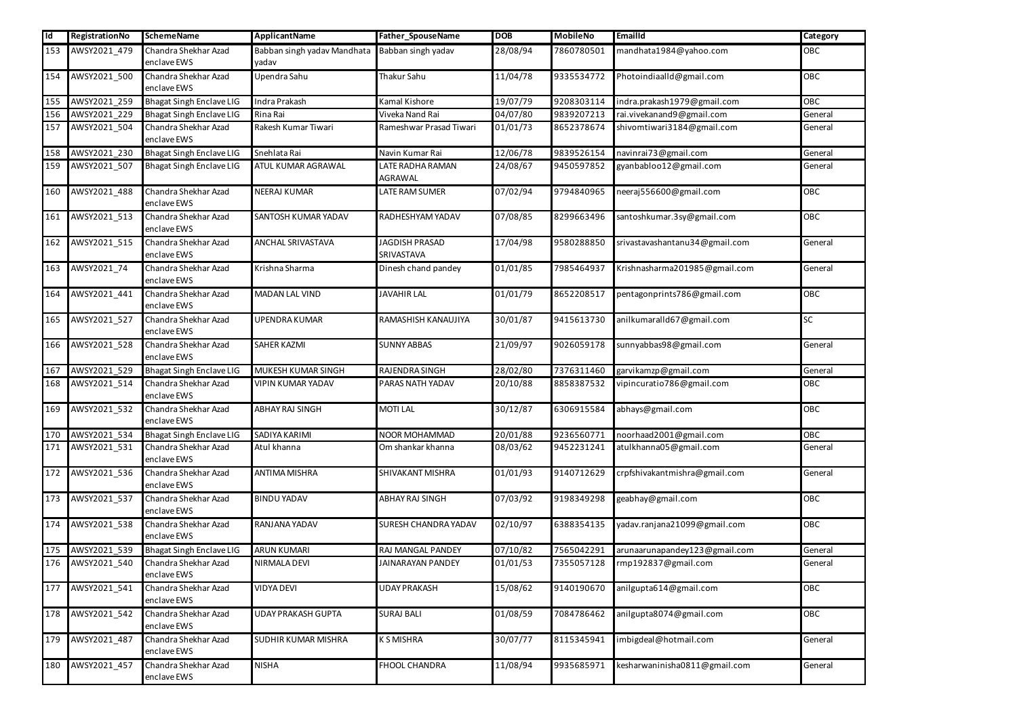| Id  | RegistrationNo   | <b>SchemeName</b>                   | ApplicantName                        | Father_SpouseName                  | <b>DOB</b> | <b>MobileNo</b> | <b>EmailId</b>                 | Category   |
|-----|------------------|-------------------------------------|--------------------------------------|------------------------------------|------------|-----------------|--------------------------------|------------|
| 153 | AWSY2021_479     | Chandra Shekhar Azad<br>enclave EWS | Babban singh yadav Mandhata<br>yadav | Babban singh yadav                 | 28/08/94   | 7860780501      | mandhata1984@yahoo.com         | OBC        |
| 154 | AWSY2021_500     | Chandra Shekhar Azad<br>enclave EWS | Upendra Sahu                         | Thakur Sahu                        | 11/04/78   | 9335534772      | Photoindiaalld@gmail.com       | OBC        |
| 155 | AWSY2021_259     | <b>Bhagat Singh Enclave LIG</b>     | Indra Prakash                        | Kamal Kishore                      | 19/07/79   | 9208303114      | indra.prakash1979@gmail.com    | OBC        |
| 156 | AWSY2021_229     | <b>Bhagat Singh Enclave LIG</b>     | Rina Rai                             | Viveka Nand Rai                    | 04/07/80   | 9839207213      | rai.vivekanand9@gmail.com      | General    |
| 157 | AWSY2021_504     | Chandra Shekhar Azad<br>enclave EWS | Rakesh Kumar Tiwari                  | Rameshwar Prasad Tiwari            | 01/01/73   | 8652378674      | shivomtiwari3184@gmail.com     | General    |
| 158 | AWSY2021_230     | <b>Bhagat Singh Enclave LIG</b>     | Snehlata Rai                         | Navin Kumar Rai                    | 12/06/78   | 9839526154      | navinrai73@gmail.com           | General    |
| 159 | AWSY2021_507     | <b>Bhagat Singh Enclave LIG</b>     | ATUL KUMAR AGRAWAL                   | LATE RADHA RAMAN<br><b>AGRAWAL</b> | 24/08/67   | 9450597852      | gyanbabloo12@gmail.com         | General    |
| 160 | AWSY2021_488     | Chandra Shekhar Azad<br>enclave EWS | <b>NEERAJ KUMAR</b>                  | LATE RAM SUMER                     | 07/02/94   | 9794840965      | neeraj556600@gmail.com         | OBC        |
| 161 | AWSY2021_513     | Chandra Shekhar Azad<br>enclave EWS | SANTOSH KUMAR YADAV                  | RADHESHYAM YADAV                   | 07/08/85   | 8299663496      | santoshkumar.3sy@gmail.com     | OBC        |
| 162 | AWSY2021_515     | Chandra Shekhar Azad<br>enclave EWS | <b>ANCHAL SRIVASTAVA</b>             | JAGDISH PRASAD<br>SRIVASTAVA       | 17/04/98   | 9580288850      | srivastavashantanu34@gmail.com | General    |
| 163 | AWSY2021_74      | Chandra Shekhar Azad<br>enclave EWS | Krishna Sharma                       | Dinesh chand pandey                | 01/01/85   | 7985464937      | Krishnasharma201985@gmail.com  | General    |
| 164 | AWSY2021_441     | Chandra Shekhar Azad<br>enclave EWS | <b>MADAN LAL VIND</b>                | <b>JAVAHIR LAL</b>                 | 01/01/79   | 8652208517      | pentagonprints786@gmail.com    | OBC        |
| 165 | AWSY2021_527     | Chandra Shekhar Azad<br>enclave EWS | <b>UPENDRA KUMAR</b>                 | RAMASHISH KANAUJIYA                | 30/01/87   | 9415613730      | anilkumaralld67@gmail.com      | <b>SC</b>  |
| 166 | AWSY2021_528     | Chandra Shekhar Azad<br>enclave EWS | <b>SAHER KAZMI</b>                   | <b>SUNNY ABBAS</b>                 | 21/09/97   | 9026059178      | sunnyabbas98@gmail.com         | General    |
| 167 | AWSY2021_529     | <b>Bhagat Singh Enclave LIG</b>     | MUKESH KUMAR SINGH                   | RAJENDRA SINGH                     | 28/02/80   | 7376311460      | garvikamzp@gmail.com           | General    |
| 168 | AWSY2021_514     | Chandra Shekhar Azad<br>enclave EWS | <b>VIPIN KUMAR YADAV</b>             | PARAS NATH YADAV                   | 20/10/88   | 8858387532      | vipincuratio786@gmail.com      | OBC        |
|     | 169 AWSY2021 532 | Chandra Shekhar Azad<br>enclave EWS | <b>ABHAY RAJ SINGH</b>               | <b>MOTI LAL</b>                    | 30/12/87   | 6306915584      | abhays@gmail.com               | <b>OBC</b> |
| 170 | AWSY2021_534     | <b>Bhagat Singh Enclave LIG</b>     | SADIYA KARIMI                        | NOOR MOHAMMAD                      | 20/01/88   | 9236560771      | noorhaad2001@gmail.com         | OBC        |
| 171 | AWSY2021_531     | Chandra Shekhar Azad<br>enclave EWS | Atul khanna                          | Om shankar khanna                  | 08/03/62   | 9452231241      | atulkhanna05@gmail.com         | General    |
| 172 | AWSY2021_536     | Chandra Shekhar Azad<br>enclave EWS | <b>ANTIMA MISHRA</b>                 | SHIVAKANT MISHRA                   | 01/01/93   | 9140712629      | crpfshivakantmishra@gmail.com  | General    |
| 173 | AWSY2021_537     | Chandra Shekhar Azad<br>enclave EWS | <b>BINDU YADAV</b>                   | ABHAY RAJ SINGH                    | 07/03/92   | 9198349298      | geabhay@gmail.com              | OBC        |
| 174 | AWSY2021_538     | Chandra Shekhar Azad<br>enclave EWS | RANJANA YADAV                        | SURESH CHANDRA YADAV               | 02/10/97   | 6388354135      | yadav.ranjana21099@gmail.com   | OBC        |
| 175 | AWSY2021_539     | <b>Bhagat Singh Enclave LIG</b>     | <b>ARUN KUMARI</b>                   | RAJ MANGAL PANDEY                  | 07/10/82   | 7565042291      | arunaarunapandey123@gmail.com  | General    |
| 176 | AWSY2021_540     | Chandra Shekhar Azad<br>enclave EWS | <b>NIRMALA DEVI</b>                  | JAINARAYAN PANDEY                  | 01/01/53   | 7355057128      | rmp192837@gmail.com            | General    |
| 177 | AWSY2021_541     | Chandra Shekhar Azad<br>enclave EWS | <b>VIDYA DEVI</b>                    | <b>UDAY PRAKASH</b>                | 15/08/62   | 9140190670      | anilgupta614@gmail.com         | OBC        |
| 178 | AWSY2021_542     | Chandra Shekhar Azad<br>enclave EWS | <b>UDAY PRAKASH GUPTA</b>            | <b>SURAJ BALI</b>                  | 01/08/59   | 7084786462      | anilgupta8074@gmail.com        | OBC        |
| 179 | AWSY2021_487     | Chandra Shekhar Azad<br>enclave EWS | <b>SUDHIR KUMAR MISHRA</b>           | <b>KSMISHRA</b>                    | 30/07/77   | 8115345941      | imbigdeal@hotmail.com          | General    |
| 180 | AWSY2021_457     | Chandra Shekhar Azad<br>enclave EWS | <b>NISHA</b>                         | FHOOL CHANDRA                      | 11/08/94   | 9935685971      | kesharwaninisha0811@gmail.com  | General    |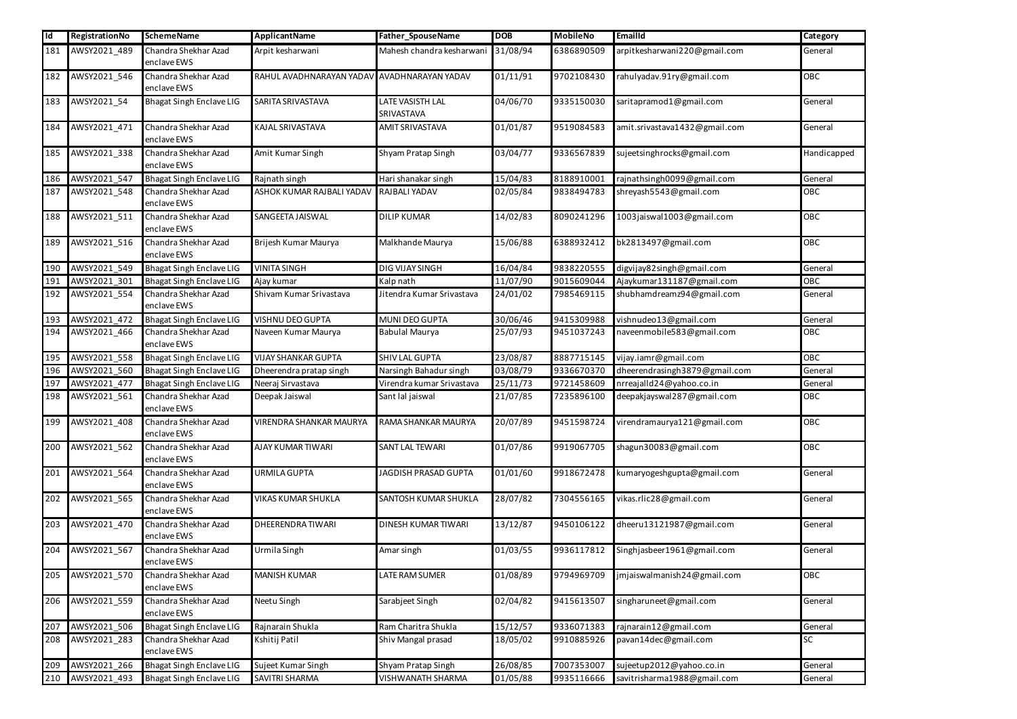| $\overline{\mathsf{Id}}$ | RegistrationNo | <b>SchemeName</b>                   | <b>ApplicantName</b>                        | Father_SpouseName                  | <b>DOB</b> | <b>MobileNo</b> | Emailld                       | Category    |
|--------------------------|----------------|-------------------------------------|---------------------------------------------|------------------------------------|------------|-----------------|-------------------------------|-------------|
| 181                      | AWSY2021_489   | Chandra Shekhar Azad<br>enclave EWS | Arpit kesharwani                            | Mahesh chandra kesharwani 31/08/94 |            | 6386890509      | arpitkesharwani220@gmail.com  | General     |
| 182                      | AWSY2021_546   | Chandra Shekhar Azad<br>enclave EWS | RAHUL AVADHNARAYAN YADAV AVADHNARAYAN YADAV |                                    | 01/11/91   | 9702108430      | rahulyadav.91ry@gmail.com     | OBC         |
| 183                      | AWSY2021_54    | <b>Bhagat Singh Enclave LIG</b>     | SARITA SRIVASTAVA                           | LATE VASISTH LAL<br>SRIVASTAVA     | 04/06/70   | 9335150030      | saritapramod1@gmail.com       | General     |
| 184                      | AWSY2021_471   | Chandra Shekhar Azad<br>enclave EWS | KAJAL SRIVASTAVA                            | AMIT SRIVASTAVA                    | 01/01/87   | 9519084583      | amit.srivastava1432@gmail.com | General     |
| 185                      | AWSY2021_338   | Chandra Shekhar Azad<br>enclave EWS | Amit Kumar Singh                            | Shyam Pratap Singh                 | 03/04/77   | 9336567839      | sujeetsinghrocks@gmail.com    | Handicapped |
| 186                      | AWSY2021_547   | <b>Bhagat Singh Enclave LIG</b>     | Rajnath singh                               | Hari shanakar singh                | 15/04/83   | 8188910001      | rajnathsingh0099@gmail.com    | General     |
| 187                      | AWSY2021_548   | Chandra Shekhar Azad<br>enclave EWS | ASHOK KUMAR RAJBALI YADAV                   | RAJBALI YADAV                      | 02/05/84   | 9838494783      | shreyash5543@gmail.com        | OBC         |
| 188                      | AWSY2021_511   | Chandra Shekhar Azad<br>enclave EWS | SANGEETA JAISWAL                            | <b>DILIP KUMAR</b>                 | 14/02/83   | 8090241296      | 1003jaiswal1003@gmail.com     | OBC         |
| 189                      | AWSY2021_516   | Chandra Shekhar Azad<br>enclave EWS | Brijesh Kumar Maurya                        | Malkhande Maurya                   | 15/06/88   | 6388932412      | bk2813497@gmail.com           | OBC         |
| 190                      | AWSY2021_549   | <b>Bhagat Singh Enclave LIG</b>     | <b>VINITA SINGH</b>                         | DIG VIJAY SINGH                    | 16/04/84   | 9838220555      | digvijay82singh@gmail.com     | General     |
| 191                      | AWSY2021_301   | <b>Bhagat Singh Enclave LIG</b>     | Ajay kumar                                  | Kalp nath                          | 11/07/90   | 9015609044      | Ajaykumar131187@gmail.com     | OBC         |
| 192                      | AWSY2021_554   | Chandra Shekhar Azad<br>enclave EWS | Shivam Kumar Srivastava                     | Jitendra Kumar Srivastava          | 24/01/02   | 7985469115      | shubhamdreamz94@gmail.com     | General     |
| 193                      | AWSY2021_472   | <b>Bhagat Singh Enclave LIG</b>     | <b>VISHNU DEO GUPTA</b>                     | MUNI DEO GUPTA                     | 30/06/46   | 9415309988      | vishnudeo13@gmail.com         | General     |
| 194                      | AWSY2021_466   | Chandra Shekhar Azad<br>enclave EWS | Naveen Kumar Maurya                         | <b>Babulal Maurya</b>              | 25/07/93   | 9451037243      | naveenmobile583@gmail.com     | OBC         |
| 195                      | AWSY2021_558   | <b>Bhagat Singh Enclave LIG</b>     | <b>VIJAY SHANKAR GUPTA</b>                  | SHIV LAL GUPTA                     | 23/08/87   | 8887715145      | vijay.iamr@gmail.com          | OBC         |
| 196                      | AWSY2021 560   | <b>Bhagat Singh Enclave LIG</b>     | Dheerendra pratap singh                     | Narsingh Bahadur singh             | 03/08/79   | 9336670370      | dheerendrasingh3879@gmail.com | General     |
| 197                      | AWSY2021_477   | <b>Bhagat Singh Enclave LIG</b>     | Neeraj Sirvastava                           | Virendra kumar Srivastava          | 25/11/73   | 9721458609      | nrreajalld24@yahoo.co.in      | General     |
| 198                      | AWSY2021_561   | Chandra Shekhar Azad<br>enclave EWS | Deepak Jaiswal                              | Sant lal jaiswal                   | 21/07/85   | 7235896100      | deepakjayswal287@gmail.com    | OBC         |
| 199                      | AWSY2021_408   | Chandra Shekhar Azad<br>enclave EWS | <b>VIRENDRA SHANKAR MAURYA</b>              | RAMA SHANKAR MAURYA                | 20/07/89   | 9451598724      | virendramaurya121@gmail.com   | OBC         |
| 200                      | AWSY2021_562   | Chandra Shekhar Azad<br>enclave EWS | AJAY KUMAR TIWARI                           | SANT LAL TEWARI                    | 01/07/86   | 9919067705      | shagun30083@gmail.com         | OBC         |
| 201                      | AWSY2021_564   | Chandra Shekhar Azad<br>enclave EWS | <b>URMILA GUPTA</b>                         | JAGDISH PRASAD GUPTA               | 01/01/60   | 9918672478      | kumaryogeshgupta@gmail.com    | General     |
| 202                      | AWSY2021_565   | Chandra Shekhar Azad<br>enclave EWS | <b>VIKAS KUMAR SHUKLA</b>                   | SANTOSH KUMAR SHUKLA               | 28/07/82   | 7304556165      | vikas.rlic28@gmail.com        | General     |
| 203                      | AWSY2021_470   | Chandra Shekhar Azad<br>enclave EWS | DHEERENDRATIWARI                            | DINESH KUMAR TIWARI                | 13/12/87   | 9450106122      | dheeru13121987@gmail.com      | General     |
| 204                      | AWSY2021_567   | Chandra Shekhar Azad<br>enclave EWS | Urmila Singh                                | Amar singh                         | 01/03/55   | 9936117812      | Singhjasbeer1961@gmail.com    | General     |
| 205                      | AWSY2021_570   | Chandra Shekhar Azad<br>enclave EWS | <b>MANISH KUMAR</b>                         | <b>LATE RAM SUMER</b>              | 01/08/89   | 9794969709      | jmjaiswalmanish24@gmail.com   | OBC         |
| 206                      | AWSY2021_559   | Chandra Shekhar Azad<br>enclave EWS | Neetu Singh                                 | Sarabjeet Singh                    | 02/04/82   | 9415613507      | singharuneet@gmail.com        | General     |
| 207                      | AWSY2021_506   | <b>Bhagat Singh Enclave LIG</b>     | Rajnarain Shukla                            | Ram Charitra Shukla                | 15/12/57   | 9336071383      | rajnarain12@gmail.com         | General     |
| 208                      | AWSY2021_283   | Chandra Shekhar Azad<br>enclave EWS | Kshitij Patil                               | Shiv Mangal prasad                 | 18/05/02   | 9910885926      | pavan14dec@gmail.com          | SC          |
| 209                      | AWSY2021_266   | <b>Bhagat Singh Enclave LIG</b>     | Sujeet Kumar Singh                          | Shyam Pratap Singh                 | 26/08/85   | 7007353007      | sujeetup2012@yahoo.co.in      | General     |
| 210                      | AWSY2021_493   | <b>Bhagat Singh Enclave LIG</b>     | <b>SAVITRI SHARMA</b>                       | VISHWANATH SHARMA                  | 01/05/88   | 9935116666      | savitrisharma1988@gmail.com   | General     |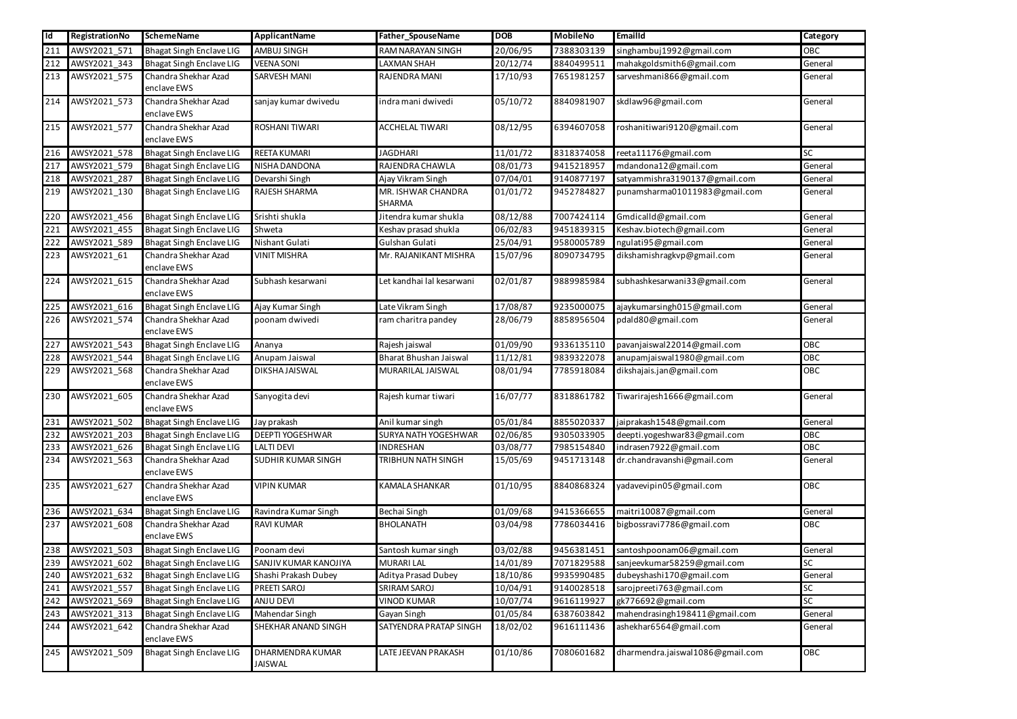| <b>Id</b>  | RegistrationNo               | <b>SchemeName</b>                                                  | <b>ApplicantName</b>                   | Father_SpouseName                        | <b>DOB</b>           | <b>MobileNo</b>          | Emailld                                                | Category       |
|------------|------------------------------|--------------------------------------------------------------------|----------------------------------------|------------------------------------------|----------------------|--------------------------|--------------------------------------------------------|----------------|
| 211        | AWSY2021_571                 | <b>Bhagat Singh Enclave LIG</b>                                    | <b>AMBUJ SINGH</b>                     | RAM NARAYAN SINGH                        | 20/06/95             | 7388303139               | singhambuj1992@gmail.com                               | OBC            |
| 212        | AWSY2021_343                 | <b>Bhagat Singh Enclave LIG</b>                                    | <b>VEENA SONI</b>                      | LAXMAN SHAH                              | 20/12/74             | 8840499511               | mahakgoldsmith6@gmail.com                              | General        |
| 213        | AWSY2021_575                 | Chandra Shekhar Azad                                               | <b>SARVESH MANI</b>                    | RAJENDRA MANI                            | 17/10/93             | 7651981257               | sarveshmani866@gmail.com                               | General        |
|            |                              | enclave EWS                                                        |                                        |                                          |                      |                          |                                                        |                |
| 214        | AWSY2021_573                 | Chandra Shekhar Azad                                               | sanjay kumar dwivedu                   | indra mani dwivedi                       | 05/10/72             | 8840981907               | skdlaw96@gmail.com                                     | General        |
|            |                              | enclave EWS                                                        |                                        |                                          |                      |                          |                                                        |                |
| 215        | AWSY2021_577                 | Chandra Shekhar Azad                                               | <b>ROSHANI TIWARI</b>                  | <b>ACCHELAL TIWARI</b>                   | 08/12/95             | 6394607058               | roshanitiwari9120@gmail.com                            | General        |
|            |                              | enclave EWS                                                        |                                        |                                          |                      |                          |                                                        |                |
| 216        | AWSY2021_578                 | <b>Bhagat Singh Enclave LIG</b>                                    | REETA KUMARI                           | <b>JAGDHARI</b>                          | 11/01/72             | 8318374058               | reeta11176@gmail.com                                   | <b>SC</b>      |
| 217        | AWSY2021_579                 | <b>Bhagat Singh Enclave LIG</b>                                    | NISHA DANDONA                          | RAJENDRA CHAWLA                          | 08/01/73             | 9415218957               | mdandona12@gmail.com                                   | General        |
| 218        | AWSY2021_287                 | <b>Bhagat Singh Enclave LIG</b>                                    | Devarshi Singh                         | Ajay Vikram Singh                        | 07/04/01             | 9140877197               | satyammishra3190137@gmail.com                          | General        |
| 219        | AWSY2021_130                 | <b>Bhagat Singh Enclave LIG</b>                                    | RAJESH SHARMA                          | MR. ISHWAR CHANDRA                       | 01/01/72             | 9452784827               | punamsharma01011983@gmail.com                          | General        |
|            |                              |                                                                    |                                        | <b>SHARMA</b>                            |                      |                          |                                                        |                |
| 220        | AWSY2021_456                 | <b>Bhagat Singh Enclave LIG</b>                                    | Srishti shukla                         | Jitendra kumar shukla                    | 08/12/88             | 7007424114               | Gmdicalld@gmail.com                                    | General        |
| 221        | AWSY2021_455                 | <b>Bhagat Singh Enclave LIG</b>                                    | Shweta                                 | Keshav prasad shukla                     | 06/02/83             | 9451839315               | Keshav.biotech@gmail.com                               | General        |
| 222        | AWSY2021_589                 | <b>Bhagat Singh Enclave LIG</b>                                    | Nishant Gulati                         | Gulshan Gulati                           | 25/04/91             | 9580005789               | ngulati95@gmail.com                                    | General        |
| 223        | AWSY2021_61                  | Chandra Shekhar Azad<br>enclave EWS                                | <b>VINIT MISHRA</b>                    | Mr. RAJANIKANT MISHRA                    | 15/07/96             | 8090734795               | dikshamishragkvp@gmail.com                             | General        |
| 224        | AWSY2021_615                 | Chandra Shekhar Azad<br>enclave EWS                                | Subhash kesarwani                      | Let kandhai lal kesarwani                | 02/01/87             | 9889985984               | subhashkesarwani33@gmail.com                           | General        |
| 225        | AWSY2021_616                 | <b>Bhagat Singh Enclave LIG</b>                                    | Ajay Kumar Singh                       | Late Vikram Singh                        | 17/08/87             | 9235000075               | ajaykumarsingh015@gmail.com                            | General        |
| 226        | AWSY2021_574                 | Chandra Shekhar Azad                                               | poonam dwivedi                         | ram charitra pandey                      | 28/06/79             | 8858956504               | pdald80@gmail.com                                      | General        |
|            |                              | enclave EWS                                                        |                                        |                                          |                      |                          |                                                        |                |
| 227        | AWSY2021_543                 | <b>Bhagat Singh Enclave LIG</b>                                    | Ananya                                 | Rajesh jaiswal                           | 01/09/90             | 9336135110               | pavanjaiswal22014@gmail.com                            | OBC            |
| 228        | AWSY2021_544                 | <b>Bhagat Singh Enclave LIG</b>                                    | Anupam Jaiswal                         | Bharat Bhushan Jaiswal                   | 11/12/81             | 9839322078               | anupamjaiswal1980@gmail.com                            | OBC            |
| 229        | AWSY2021_568                 | Chandra Shekhar Azad                                               | <b>DIKSHAJAISWAL</b>                   | MURARILAL JAISWAL                        | 08/01/94             | 7785918084               | dikshajais.jan@gmail.com                               | OBC            |
|            |                              | enclave EWS                                                        |                                        |                                          |                      |                          |                                                        |                |
| 230        | AWSY2021_605                 | Chandra Shekhar Azad                                               | Sanyogita devi                         | Rajesh kumar tiwari                      | 16/07/77             | 8318861782               | Tiwarirajesh1666@gmail.com                             | General        |
|            |                              | enclave EWS                                                        |                                        |                                          |                      |                          |                                                        |                |
| 231<br>232 | AWSY2021_502<br>AWSY2021 203 | <b>Bhagat Singh Enclave LIG</b><br><b>Bhagat Singh Enclave LIG</b> | Jay prakash<br><b>DEEPTI YOGESHWAR</b> | Anil kumar singh<br>SURYA NATH YOGESHWAR | 05/01/84<br>02/06/85 | 8855020337<br>9305033905 | jaiprakash1548@gmail.com                               | General<br>OBC |
| 233        |                              | <b>Bhagat Singh Enclave LIG</b>                                    | <b>LALTI DEVI</b>                      | <b>INDRESHAN</b>                         | 03/08/77             | 7985154840               | deepti.yogeshwar83@gmail.com<br>indrasen7922@gmail.com | OBC            |
| 234        | AWSY2021_626<br>AWSY2021_563 | Chandra Shekhar Azad                                               | <b>SUDHIR KUMAR SINGH</b>              | TRIBHUN NATH SINGH                       | 15/05/69             | 9451713148               | dr.chandravanshi@gmail.com                             | General        |
|            |                              | enclave EWS                                                        |                                        |                                          |                      |                          |                                                        |                |
| 235        | AWSY2021 627                 | Chandra Shekhar Azad                                               | <b>VIPIN KUMAR</b>                     | KAMALA SHANKAR                           | 01/10/95             | 8840868324               | yadavevipin05@gmail.com                                | <b>OBC</b>     |
|            |                              | enclave EWS                                                        |                                        |                                          |                      |                          |                                                        |                |
| 236        | AWSY2021 634                 | <b>Bhagat Singh Enclave LIG</b>                                    | Ravindra Kumar Singh                   | Bechai Singh                             | 01/09/68             | 9415366655               | maitri10087@gmail.com                                  | General        |
| 237        | AWSY2021_608                 | Chandra Shekhar Azad                                               | <b>RAVI KUMAR</b>                      | <b>BHOLANATH</b>                         | 03/04/98             | 7786034416               | bigbossravi7786@gmail.com                              | OBC            |
|            |                              | enclave EWS                                                        |                                        |                                          |                      |                          |                                                        |                |
| 238        | AWSY2021_503                 | <b>Bhagat Singh Enclave LIG</b>                                    | Poonam devi                            | Santosh kumar singh                      | 03/02/88             | 9456381451               | santoshpoonam06@gmail.com                              | General        |
| 239        | AWSY2021_602                 | <b>Bhagat Singh Enclave LIG</b>                                    | SANJIV KUMAR KANOJIYA                  | MURARI LAL                               | 14/01/89             | 7071829588               | sanjeevkumar58259@gmail.com                            | <b>SC</b>      |
| 240        | AWSY2021_632                 | <b>Bhagat Singh Enclave LIG</b>                                    | Shashi Prakash Dubey                   | Aditya Prasad Dubey                      | 18/10/86             | 9935990485               | dubeyshashi170@gmail.com                               | General        |
| 241        | AWSY2021_557                 | <b>Bhagat Singh Enclave LIG</b>                                    | <b>PREETI SAROJ</b>                    | SRIRAM SAROJ                             | 10/04/91             | 9140028518               | sarojpreeti763@gmail.com                               | <b>SC</b>      |
| 242        | AWSY2021_569                 | <b>Bhagat Singh Enclave LIG</b>                                    | <b>ANJU DEVI</b>                       | <b>VINOD KUMAR</b>                       | 10/07/74             | 9616119927               | gk776692@gmail.com                                     | <b>SC</b>      |
| 243        | AWSY2021_313                 | <b>Bhagat Singh Enclave LIG</b>                                    | Mahendar Singh                         | Gayan Singh                              | 01/05/84             | 6387603842               | mahendrasingh198411@gmail.com                          | General        |
| 244        | AWSY2021_642                 | Chandra Shekhar Azad<br>enclave EWS                                | SHEKHAR ANAND SINGH                    | SATYENDRA PRATAP SINGH                   | 18/02/02             | 9616111436               | ashekhar6564@gmail.com                                 | General        |
| 245        | AWSY2021_509                 | <b>Bhagat Singh Enclave LIG</b>                                    | DHARMENDRA KUMAR<br>JAISWAL            | LATE JEEVAN PRAKASH                      | 01/10/86             | 7080601682               | dharmendra.jaiswal1086@gmail.com                       | OBC            |